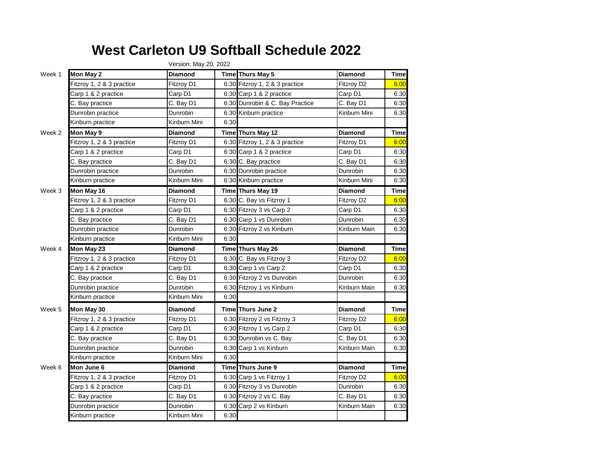## **West Carleton U9 Softball Schedule 2022**

|        |                           | Version: May 20, 2022 |      |                                 |                |              |
|--------|---------------------------|-----------------------|------|---------------------------------|----------------|--------------|
| Week 1 | Mon May 2                 | <b>Diamond</b>        |      | Time Thurs May 5                | <b>Diamond</b> | <b>Time</b>  |
|        | Fitzroy 1, 2 & 3 practice | Fitzroy D1            |      | 6:30 Fitzroy 1, 2 & 3 practice  | Fitzroy D2     | 6:00         |
|        | Carp 1 & 2 practice       | Carp D1               |      | 6:30 Carp 1 & 2 practice        | Carp D1        | 6:30         |
|        | C. Bay practice           | C. Bay D1             |      | 6:30 Dunrobin & C. Bay Practice | C. Bay D1      | 6:30         |
|        | Dunrobin practice         | Dunrobin              |      | 6:30 Kinburn practice           | Kinburn Mini   | 6:30         |
|        | Kinburn practice          | Kinburn Mini          | 6:30 |                                 |                |              |
| Week 2 | Mon May 9                 | <b>Diamond</b>        |      | Time Thurs May 12               | <b>Diamond</b> | <b>Time</b>  |
|        | Fitzroy 1, 2 & 3 practice | Fitzroy D1            |      | 6:30 Fitzroy 1, 2 & 3 practice  | Fitzroy D1     | 6:00         |
|        | Carp 1 & 2 practice       | Carp D1               |      | 6:30 Carp 1 & 2 practice        | Carp D1        | 6:30         |
|        | C. Bay practice           | C. Bay D1             |      | 6:30 C. Bay practice            | C. Bay D1      | 6:30         |
|        | Dunrobin practice         | Dunrobin              |      | 6:30 Dunrobin practice          | Dunrobin       | 6:30         |
|        | Kinburn practice          | Kinburn Mini          |      | 6:30 Kinburn practice           | Kinburn Mini   | 6:30         |
| Week 3 | Mon May 16                | <b>Diamond</b>        |      | Time Thurs May 19               | <b>Diamond</b> | <b>Time</b>  |
|        | Fitzroy 1, 2 & 3 practice | Fitzrov D1            |      | 6:30 C. Bay vs Fitzroy 1        | Fitzroy D2     | 6:00         |
|        | Carp 1 & 2 practice       | Carp D1               |      | 6:30 Fitzroy 3 vs Carp 2        | Carp D1        | 6:30         |
|        | C. Bay practice           | C. Bay D1             |      | 6:30 Carp 1 vs Dunrobin         | Dunrobin       | 6:30         |
|        | Dunrobin practice         | Dunrobin              |      | 6:30 Fitzroy 2 vs Kinburn       | Kinburn Main   | 6:30         |
|        | Kinburn practice          | Kinburn Mini          | 6:30 |                                 |                |              |
| Week 4 | Mon May 23                | Diamond               |      | Time Thurs May 26               | <b>Diamond</b> | <b>Time</b>  |
|        | Fitzroy 1, 2 & 3 practice | Fitzroy D1            |      | 6:30 C. Bay vs Fitzroy 3        | Fitzroy D2     | 6:00         |
|        | Carp 1 & 2 practice       | Carp D1               |      | 6:30 Carp 1 vs Carp 2           | Carp D1        | 6:30         |
|        | C. Bay practice           | C. Bay D1             |      | 6:30 Fitzroy 2 vs Dunrobin      | Dunrobin       | 6:30         |
|        | Dunrobin practice         | Dunrobin              |      | 6:30 Fitzroy 1 vs Kinburn       | Kinburn Main   | 6:30         |
|        | Kinburn practice          | Kinburn Mini          | 6:30 |                                 |                |              |
| Week 5 | Mon May 30                | <b>Diamond</b>        |      | Time Thurs June 2               | <b>Diamond</b> | <b>Time</b>  |
|        | Fitzroy 1, 2 & 3 practice | Fitzroy D1            |      | 6:30 Fitzroy 2 vs Fitzroy 3     | Fitzroy D2     | 6:00         |
|        | Carp 1 & 2 practice       | Carp D1               |      | 6:30 Fitzroy 1 vs Carp 2        | Carp D1        | 6:30         |
|        | C. Bay practice           | C. Bay D1             |      | 6:30 Dunrobin vs C. Bay         | C. Bay D1      | 6:30         |
|        | Dunrobin practice         | Dunrobin              |      | 6:30 Carp 1 vs Kinburn          | Kinburn Main   | 6:30         |
|        | Kinburn practice          | Kinburn Mini          | 6:30 |                                 |                |              |
| Week 6 | Mon June 6                | <b>Diamond</b>        |      | Time Thurs June 9               | <b>Diamond</b> | <b>Time</b>  |
|        | Fitzroy 1, 2 & 3 practice | Fitzroy D1            |      | 6:30 Carp 1 vs Fitzroy 1        | Fitzroy D2     | 6:00         |
|        | Carp 1 & 2 practice       | Carp D1               |      | 6:30 Fitzroy 3 vs Dunrobin      | Dunrobin       | 6:30         |
|        |                           |                       |      |                                 |                |              |
|        | C. Bay practice           | C. Bay D1             |      | 6:30 Fitzroy 2 vs C. Bay        | C. Bay D1      |              |
|        | Dunrobin practice         | Dunrobin              |      | 6:30 Carp 2 vs Kinburn          | Kinburn Main   | 6:30<br>6:30 |